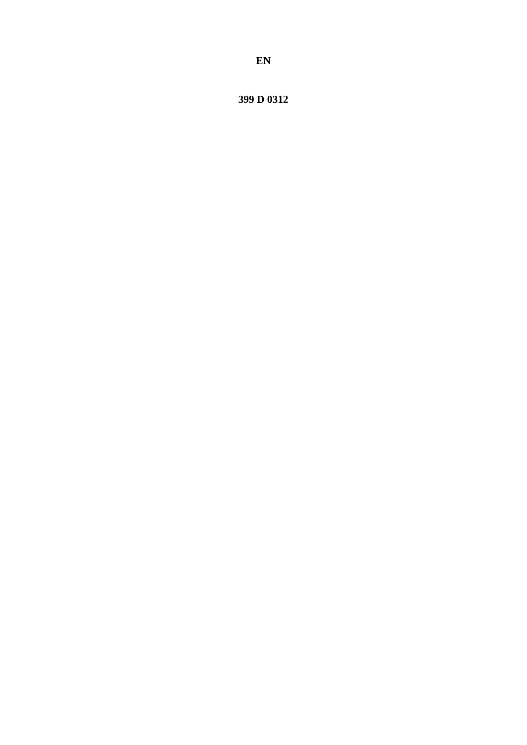399 D 0312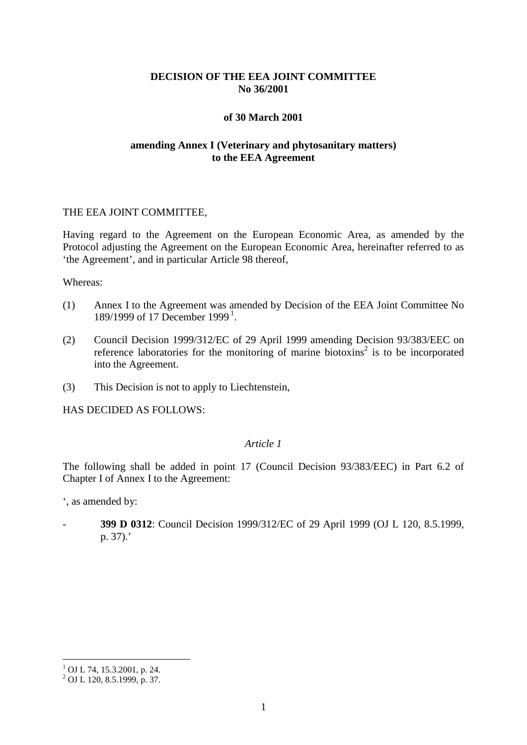## **DECISION OF THE EEA JOINT COMMITTEE No 36/2001**

## **of 30 March 2001**

# **amending Annex I (Veterinary and phytosanitary matters) to the EEA Agreement**

## THE EEA JOINT COMMITTEE,

Having regard to the Agreement on the European Economic Area, as amended by the Protocol adjusting the Agreement on the European Economic Area, hereinafter referred to as 'the Agreement', and in particular Article 98 thereof,

#### Whereas:

- (1) Annex I to the Agreement was amended by Decision of the EEA Joint Committee No [1](#page-1-0)89/1999 of 17 December 1999<sup>1</sup>.
- (2) Council Decision 1999/312/EC of 29 April 1999 amending Decision 93/383/EEC on reference laboratories for the monitoring of marine biotoxins<sup>2</sup> is to be incorporated into the Agreement.
- (3) This Decision is not to apply to Liechtenstein,

HAS DECIDED AS FOLLOWS:

## *Article 1*

The following shall be added in point 17 (Council Decision 93/383/EEC) in Part 6.2 of Chapter I of Annex I to the Agreement:

', as amended by:

- **399 D 0312**: Council Decision 1999/312/EC of 29 April 1999 (OJ L 120, 8.5.1999, p. 37).'

 $1$  OJ L 74, 15.3.2001, p. 24.

<span id="page-1-0"></span> $^{2}$  OJ L 120, 8.5.1999, p. 37.